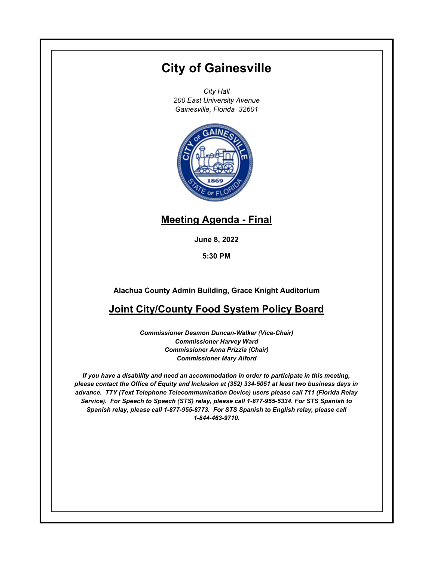# **City of Gainesville**

*City Hall 200 East University Avenue Gainesville, Florida 32601*



## **Meeting Agenda - Final**

**June 8, 2022**

**5:30 PM**

**Alachua County Admin Building, Grace Knight Auditorium**

## **Joint City/County Food System Policy Board**

*Commissioner Desmon Duncan-Walker (Vice-Chair) Commissioner Harvey Ward Commissioner Anna Prizzia (Chair) Commissioner Mary Alford*

*If you have a disability and need an accommodation in order to participate in this meeting, please contact the Office of Equity and Inclusion at (352) 334-5051 at least two business days in advance. TTY (Text Telephone Telecommunication Device) users please call 711 (Florida Relay Service). For Speech to Speech (STS) relay, please call 1-877-955-5334. For STS Spanish to Spanish relay, please call 1-877-955-8773. For STS Spanish to English relay, please call 1-844-463-9710.*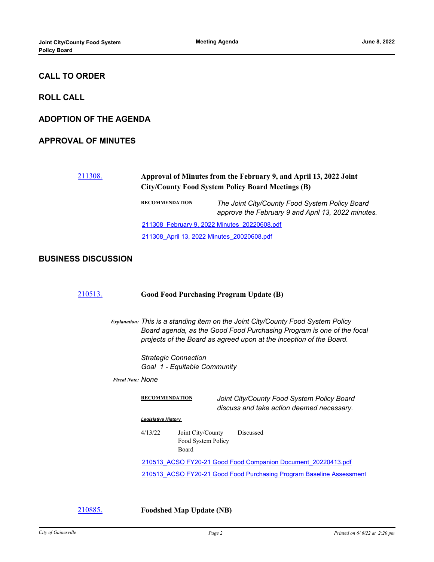### **CALL TO ORDER**

**ROLL CALL**

#### **ADOPTION OF THE AGENDA**

#### **APPROVAL OF MINUTES**

# [211308.](http://gainesville.legistar.com/gateway.aspx?m=l&id=/matter.aspx?key=34090) **Approval of Minutes from the February 9, and April 13, 2022 Joint City/County Food System Policy Board Meetings (B) RECOMMENDATION** *The Joint City/County Food System Policy Board approve the February 9 and April 13, 2022 minutes.* [211308\\_February 9, 2022 Minutes\\_20220608.pdf](http://Gainesville.legistar.com/gateway.aspx?M=F&ID=60e084d9-ea8f-4fed-b32f-7f1076c9d856.pdf)

# [211308\\_April 13, 2022 Minutes\\_20020608.pdf](http://Gainesville.legistar.com/gateway.aspx?M=F&ID=14946334-dd86-4fb3-8be5-0bda5c54d659.pdf)

#### **BUSINESS DISCUSSION**

| 210513. | <b>Good Food Purchasing Program Update (B)</b>                                                                                                                                                                                   |
|---------|----------------------------------------------------------------------------------------------------------------------------------------------------------------------------------------------------------------------------------|
|         | Explanation: This is a standing item on the Joint City/County Food System Policy<br>Board agenda, as the Good Food Purchasing Program is one of the focal<br>projects of the Board as agreed upon at the inception of the Board. |
|         | <b>Strategic Connection</b><br>Goal 1 - Equitable Community                                                                                                                                                                      |
|         | <b>Fiscal Note: NONE</b>                                                                                                                                                                                                         |
|         | <b>RECOMMENDATION</b><br>Joint City/County Food System Policy Board<br>discuss and take action deemed necessary.                                                                                                                 |
|         | <b>Legislative History</b>                                                                                                                                                                                                       |
|         | 4/13/22<br>Joint City/County<br><b>Discussed</b><br>Food System Policy<br>Board                                                                                                                                                  |
|         | 210513 ACSO FY20-21 Good Food Companion Document 20220413.pdf                                                                                                                                                                    |
|         | 210513 ACSO FY20-21 Good Food Purchasing Program Baseline Assessment                                                                                                                                                             |
|         |                                                                                                                                                                                                                                  |

[210885.](http://gainesville.legistar.com/gateway.aspx?m=l&id=/matter.aspx?key=33667) **Foodshed Map Update (NB)**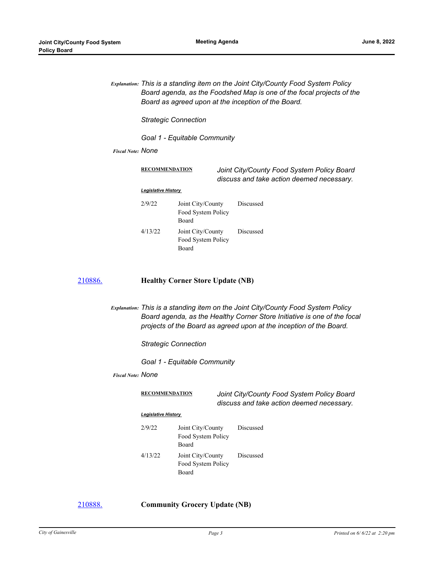*Explanation: This is a standing item on the Joint City/County Food System Policy Board agenda, as the Foodshed Map is one of the focal projects of the Board as agreed upon at the inception of the Board.* 

*Strategic Connection* 

*Goal 1 - Equitable Community*

*Fiscal Note: None*

| <b>RECOMMENDATION</b>      |                                                  | Joint City/County Food System Policy Board<br>discuss and take action deemed necessary. |  |  |  |  |
|----------------------------|--------------------------------------------------|-----------------------------------------------------------------------------------------|--|--|--|--|
| <b>Legislative History</b> |                                                  |                                                                                         |  |  |  |  |
| 2/9/22                     | Joint City/County<br>Food System Policy<br>Board | Discussed                                                                               |  |  |  |  |
| 4/13/22                    | Joint City/County<br>Food System Policy<br>Board | Discussed                                                                               |  |  |  |  |

#### [210886.](http://gainesville.legistar.com/gateway.aspx?m=l&id=/matter.aspx?key=33668) **Healthy Corner Store Update (NB)**

*Explanation: This is a standing item on the Joint City/County Food System Policy Board agenda, as the Healthy Corner Store Initiative is one of the focal projects of the Board as agreed upon at the inception of the Board.* 

*Strategic Connection* 

*Goal 1 - Equitable Community*

*Fiscal Note: None*

**RECOMMENDATION** *Joint City/County Food System Policy Board discuss and take action deemed necessary.*

#### *Legislative History*

| 2/9/22  | Joint City/County  | Discussed |
|---------|--------------------|-----------|
|         | Food System Policy |           |
|         | Board              |           |
| 4/13/22 | Joint City/County  | Discussed |
|         | Food System Policy |           |
|         | Board              |           |

[210888.](http://gainesville.legistar.com/gateway.aspx?m=l&id=/matter.aspx?key=33670) **Community Grocery Update (NB)**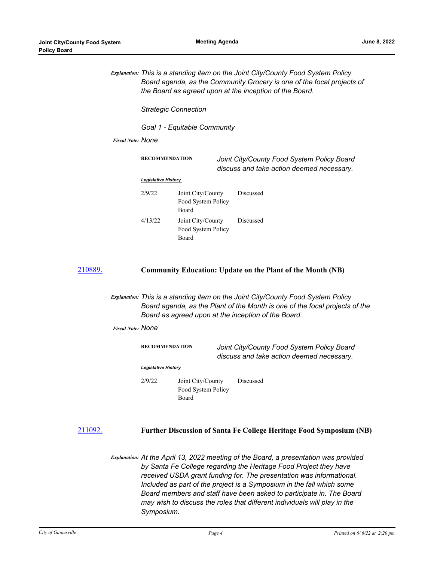|         |                          | Explanation: This is a standing item on the Joint City/County Food System Policy<br>Board agenda, as the Community Grocery is one of the focal projects of<br>the Board as agreed upon at the inception of the Board. |                                                  |                                                                                         |                                                                   |  |
|---------|--------------------------|-----------------------------------------------------------------------------------------------------------------------------------------------------------------------------------------------------------------------|--------------------------------------------------|-----------------------------------------------------------------------------------------|-------------------------------------------------------------------|--|
|         |                          | <b>Strategic Connection</b>                                                                                                                                                                                           |                                                  |                                                                                         |                                                                   |  |
|         | <b>Fiscal Note: NONE</b> | Goal 1 - Equitable Community                                                                                                                                                                                          |                                                  |                                                                                         |                                                                   |  |
|         |                          |                                                                                                                                                                                                                       |                                                  |                                                                                         |                                                                   |  |
|         |                          | <b>RECOMMENDATION</b>                                                                                                                                                                                                 |                                                  | Joint City/County Food System Policy Board<br>discuss and take action deemed necessary. |                                                                   |  |
|         |                          | <b>Legislative History</b>                                                                                                                                                                                            |                                                  |                                                                                         |                                                                   |  |
|         |                          | 2/9/22                                                                                                                                                                                                                | Joint City/County<br>Food System Policy<br>Board |                                                                                         | Discussed                                                         |  |
|         |                          | 4/13/22                                                                                                                                                                                                               | Joint City/County<br>Food System Policy<br>Board |                                                                                         | Discussed                                                         |  |
| 210889. |                          |                                                                                                                                                                                                                       |                                                  |                                                                                         | <b>Community Education: Update on the Plant of the Month (NB)</b> |  |

*Explanation: This is a standing item on the Joint City/County Food System Policy Board agenda, as the Plant of the Month is one of the focal projects of the Board as agreed upon at the inception of the Board.*

*Fiscal Note: None*

| <b>RECOMMENDATION</b>      |                                                  | Joint City/County Food System Policy Board<br>discuss and take action deemed necessary. |  |  |  |  |
|----------------------------|--------------------------------------------------|-----------------------------------------------------------------------------------------|--|--|--|--|
| <b>Legislative History</b> |                                                  |                                                                                         |  |  |  |  |
| 2/9/22                     | Joint City/County<br>Food System Policy<br>Board | <b>Discussed</b>                                                                        |  |  |  |  |

[211092.](http://gainesville.legistar.com/gateway.aspx?m=l&id=/matter.aspx?key=33874) **Further Discussion of Santa Fe College Heritage Food Symposium (NB)**

*Explanation: At the April 13, 2022 meeting of the Board, a presentation was provided by Santa Fe College regarding the Heritage Food Project they have received USDA grant funding for. The presentation was informational. Included as part of the project is a Symposium in the fall which some Board members and staff have been asked to participate in. The Board may wish to discuss the roles that different individuals will play in the Symposium.*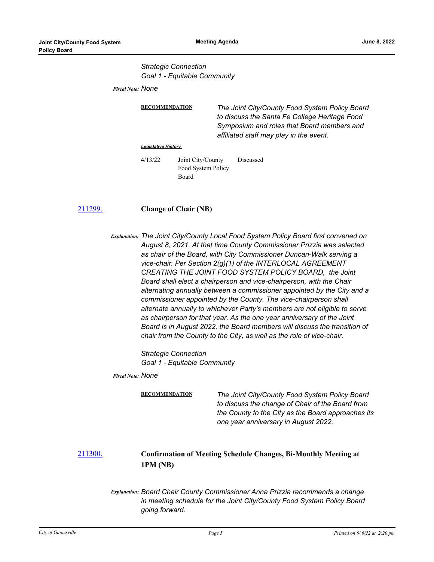*Strategic Connection Goal 1 - Equitable Community*

*Fiscal Note: None*

**RECOMMENDATION** *The Joint City/County Food System Policy Board to discuss the Santa Fe College Heritage Food Symposium and roles that Board members and affiliated staff may play in the event.*

#### *Legislative History*

4/13/22 Joint City/County Food System Policy Board Discussed

#### [211299.](http://gainesville.legistar.com/gateway.aspx?m=l&id=/matter.aspx?key=34081) **Change of Chair (NB)**

*Explanation: The Joint City/County Local Food System Policy Board first convened on August 8, 2021. At that time County Commissioner Prizzia was selected as chair of the Board, with City Commissioner Duncan-Walk serving a vice-chair. Per Section 2(g)(1) of the INTERLOCAL AGREEMENT CREATING THE JOINT FOOD SYSTEM POLICY BOARD, the Joint Board shall elect a chairperson and vice-chairperson, with the Chair alternating annually between a commissioner appointed by the City and a commissioner appointed by the County. The vice-chairperson shall alternate annually to whichever Party's members are not eligible to serve as chairperson for that year. As the one year anniversary of the Joint Board is in August 2022, the Board members will discuss the transition of chair from the County to the City, as well as the role of vice-chair.* 

> *Strategic Connection Goal 1 - Equitable Community*

*Fiscal Note: None*

**RECOMMENDATION** *The Joint City/County Food System Policy Board to discuss the change of Chair of the Board from the County to the City as the Board approaches its one year anniversary in August 2022.*

### [211300.](http://gainesville.legistar.com/gateway.aspx?m=l&id=/matter.aspx?key=34082) **Confirmation of Meeting Schedule Changes, Bi-Monthly Meeting at 1PM (NB)**

*Explanation: Board Chair County Commissioner Anna Prizzia recommends a change in meeting schedule for the Joint City/County Food System Policy Board going forward.*